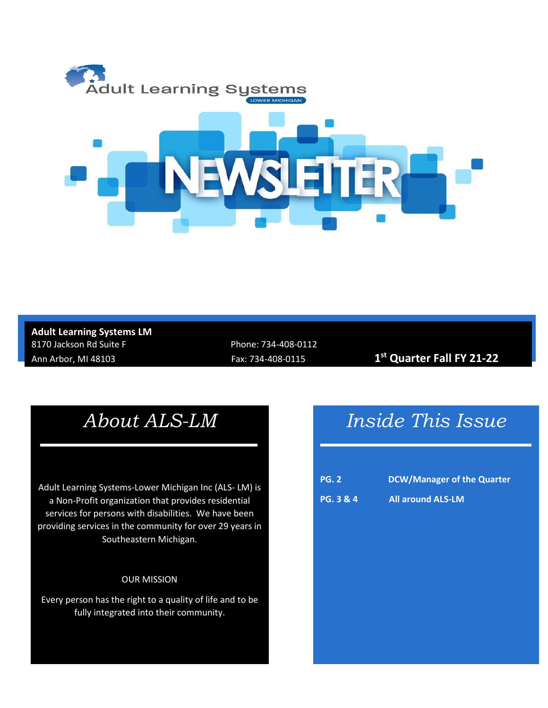

### **Adult Learning Systems LM** 8170 Jackson Rd Suite F Phone: 734-408-0112

Ann Arbor, MI 48103 Fax: 734-408-0115 **1st Quarter Fall FY 21-22**

## *About ALS-LM*

Adult Learning Systems-Lower Michigan Inc (ALS- LM) is a Non-Profit organization that provides residential services for persons with disabilities. We have been providing services in the community for over 29 years in Southeastern Michigan.

#### OUR MISSION

Every person has the right to a quality of life and to be fully integrated into their community.

# *Inside This Issue*

| <b>PG. 2</b>         | DCW/Manager of the Quarter |
|----------------------|----------------------------|
| <b>PG. 3 &amp; 4</b> | <b>All around ALS-LM</b>   |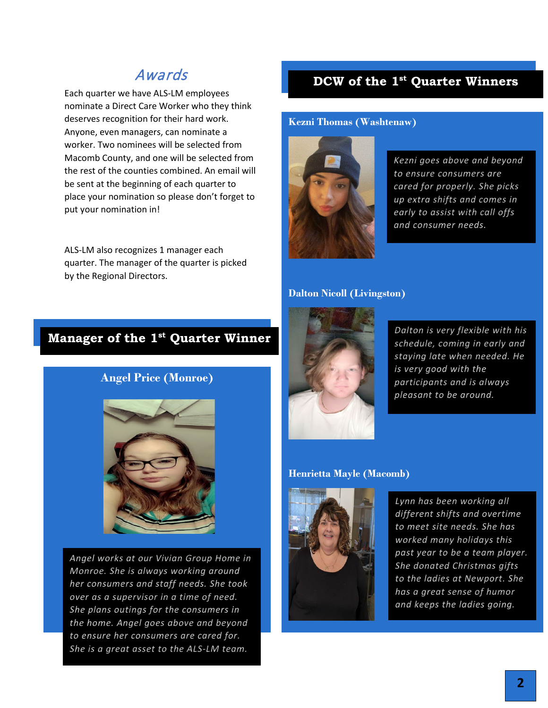#### Awards

Each quarter we have ALS-LM employees nominate a Direct Care Worker who they think deserves recognition for their hard work. Anyone, even managers, can nominate a worker. Two nominees will be selected from Macomb County, and one will be selected from the rest of the counties combined. An email will be sent at the beginning of each quarter to place your nomination so please don't forget to put your nomination in!

ALS-LM also recognizes 1 manager each quarter. The manager of the quarter is picked by the Regional Directors.

#### **DCW of the 1st Quarter Winners**

#### **Kezni Thomas (Washtenaw)**



*Kezni goes above and beyond to ensure consumers are cared for properly. She picks up extra shifts and comes in early to assist with call offs and consumer needs.*

#### **Dalton Nicoll (Livingston)**



*Dalton is very flexible with his schedule, coming in early and staying late when needed. He is very good with the participants and is always pleasant to be around.*

#### **Henrietta Mayle (Macomb)**



*Lynn has been working all different shifts and overtime to meet site needs. She has worked many holidays this past year to be a team player. She donated Christmas gifts to the ladies at Newport. She has a great sense of humor and keeps the ladies going.*

#### **Manager of the 1st Quarter Winner**

#### **Angel Price (Monroe)**



*Angel works at our Vivian Group Home in Monroe. She is always working around her consumers and staff needs. She took over as a supervisor in a time of need. She plans outings for the consumers in the home. Angel goes above and beyond to ensure her consumers are cared for. She is a great asset to the ALS-LM team.*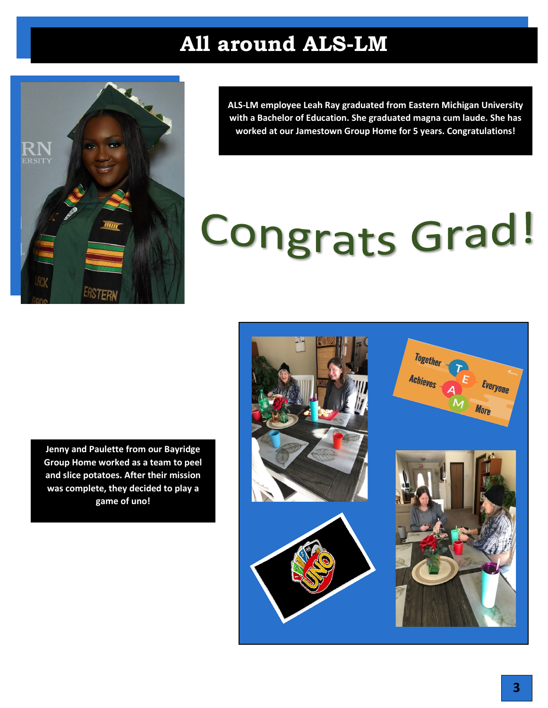# **All around ALS-LM**



**ALS-LM employee Leah Ray graduated from Eastern Michigan University with a Bachelor of Education. She graduated magna cum laude. She has worked at our Jamestown Group Home for 5 years. Congratulations!**

# **Congrats Grad!**

**Jenny and Paulette from our Bayridge Group Home worked as a team to peel and slice potatoes. After their mission was complete, they decided to play a game of uno!**